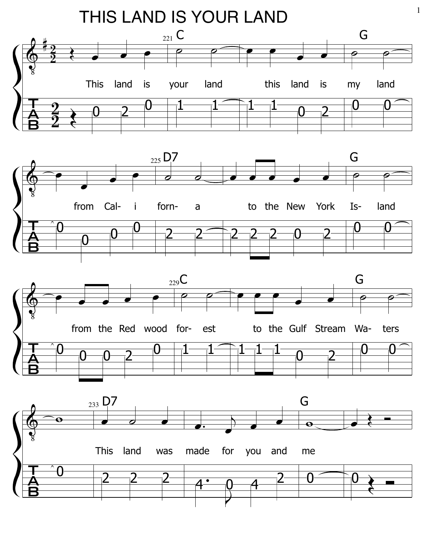THIS LAND IS YOUR LAND







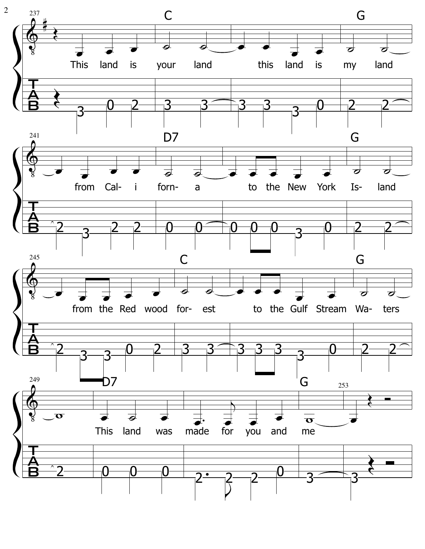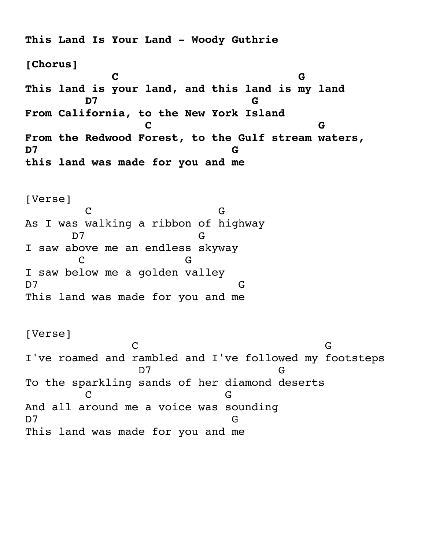**This Land Is Your Land - Woody Guthrie [Chorus] C G This land is your land, and this land is my land D7 G From California, to the New York Island C G From the Redwood Forest, to the Gulf stream waters, D7 G this land was made for you and me** [Verse] C<sub>G</sub> As I was walking a ribbon of highway D7 G I saw above me an endless skyway C G I saw below me a golden valley D7 G This land was made for you and me [Verse] C G I've roamed and rambled and I've followed my footsteps D7 G To the sparkling sands of her diamond deserts C<sub>G</sub> And all around me a voice was sounding D7 G This land was made for you and me